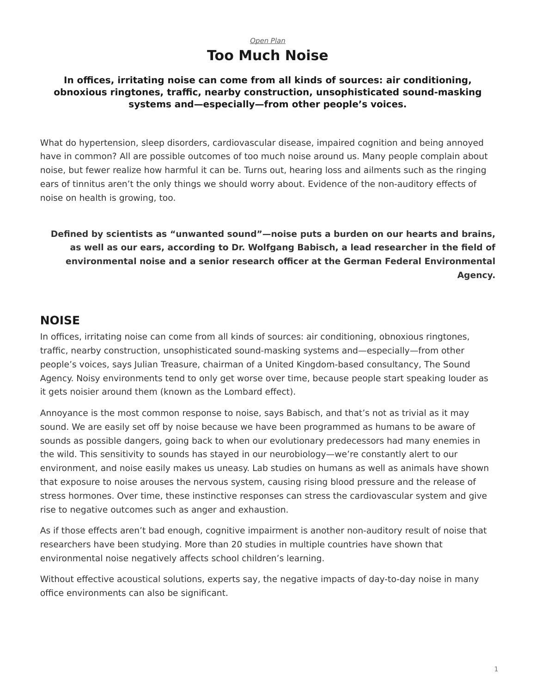#### *[Open Plan](https://www.steelcase.com/asia-en/research/topics/open-plan-workplace/)* **Too Much Noise**

#### **In offices, irritating noise can come from all kinds of sources: air conditioning, obnoxious ringtones, traffic, nearby construction, unsophisticated sound-masking systems and—especially—from other people's voices.**

What do hypertension, sleep disorders, cardiovascular disease, impaired cognition and being annoyed have in common? All are possible outcomes of too much noise around us. Many people complain about noise, but fewer realize how harmful it can be. Turns out, hearing loss and ailments such as the ringing ears of tinnitus aren't the only things we should worry about. Evidence of the non-auditory effects of noise on health is growing, too.

## **Defined by scientists as "unwanted sound"—noise puts a burden on our hearts and brains, as well as our ears, according to Dr. Wolfgang Babisch, a lead researcher in the field of environmental noise and a senior research officer at the German Federal Environmental Agency.**

## **NOISE**

In offices, irritating noise can come from all kinds of sources: air conditioning, obnoxious ringtones, traffic, nearby construction, unsophisticated sound-masking systems and—especially—from other people's voices, says Julian Treasure, chairman of a United Kingdom-based consultancy, The Sound Agency. Noisy environments tend to only get worse over time, because people start speaking louder as it gets noisier around them (known as the Lombard effect).

Annoyance is the most common response to noise, says Babisch, and that's not as trivial as it may sound. We are easily set off by noise because we have been programmed as humans to be aware of sounds as possible dangers, going back to when our evolutionary predecessors had many enemies in the wild. This sensitivity to sounds has stayed in our neurobiology—we're constantly alert to our environment, and noise easily makes us uneasy. Lab studies on humans as well as animals have shown that exposure to noise arouses the nervous system, causing rising blood pressure and the release of stress hormones. Over time, these instinctive responses can stress the cardiovascular system and give rise to negative outcomes such as anger and exhaustion.

As if those effects aren't bad enough, cognitive impairment is another non-auditory result of noise that researchers have been studying. More than 20 studies in multiple countries have shown that environmental noise negatively affects school children's learning.

Without effective acoustical solutions, experts say, the negative impacts of day-to-day noise in many office environments can also be significant.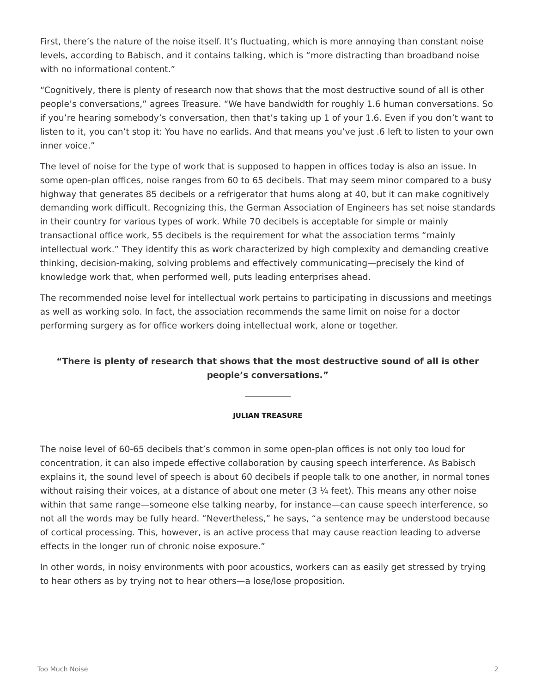First, there's the nature of the noise itself. It's fluctuating, which is more annoying than constant noise levels, according to Babisch, and it contains talking, which is "more distracting than broadband noise with no informational content."

"Cognitively, there is plenty of research now that shows that the most destructive sound of all is other people's conversations," agrees Treasure. "We have bandwidth for roughly 1.6 human conversations. So if you're hearing somebody's conversation, then that's taking up 1 of your 1.6. Even if you don't want to listen to it, you can't stop it: You have no earlids. And that means you've just .6 left to listen to your own inner voice."

The level of noise for the type of work that is supposed to happen in offices today is also an issue. In some open-plan offices, noise ranges from 60 to 65 decibels. That may seem minor compared to a busy highway that generates 85 decibels or a refrigerator that hums along at 40, but it can make cognitively demanding work difficult. Recognizing this, the German Association of Engineers has set noise standards in their country for various types of work. While 70 decibels is acceptable for simple or mainly transactional office work, 55 decibels is the requirement for what the association terms "mainly intellectual work." They identify this as work characterized by high complexity and demanding creative thinking, decision-making, solving problems and effectively communicating—precisely the kind of knowledge work that, when performed well, puts leading enterprises ahead.

The recommended noise level for intellectual work pertains to participating in discussions and meetings as well as working solo. In fact, the association recommends the same limit on noise for a doctor performing surgery as for office workers doing intellectual work, alone or together.

#### **"There is plenty of research that shows that the most destructive sound of all is other people's conversations."**

#### **JULIAN TREASURE**

The noise level of 60-65 decibels that's common in some open-plan offices is not only too loud for concentration, it can also impede effective collaboration by causing speech interference. As Babisch explains it, the sound level of speech is about 60 decibels if people talk to one another, in normal tones without raising their voices, at a distance of about one meter (3 $\frac{1}{4}$  feet). This means any other noise within that same range—someone else talking nearby, for instance—can cause speech interference, so not all the words may be fully heard. "Nevertheless," he says, "a sentence may be understood because of cortical processing. This, however, is an active process that may cause reaction leading to adverse effects in the longer run of chronic noise exposure."

In other words, in noisy environments with poor acoustics, workers can as easily get stressed by trying to hear others as by trying not to hear others—a lose/lose proposition.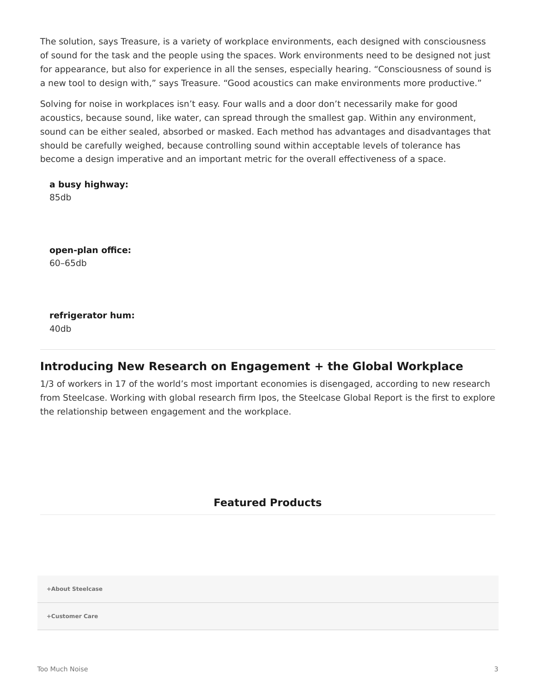The solution, says Treasure, is a variety of workplace environments, each designed with consciousness of sound for the task and the people using the spaces. Work environments need to be designed not just for appearance, but also for experience in all the senses, especially hearing. "Consciousness of sound is a new tool to design with," says Treasure. "Good acoustics can make environments more productive."

Solving for noise in workplaces isn't easy. Four walls and a door don't necessarily make for good acoustics, because sound, like water, can spread through the smallest gap. Within any environment, sound can be either sealed, absorbed or masked. Each method has advantages and disadvantages that should be carefully weighed, because controlling sound within acceptable levels of tolerance has become a design imperative and an important metric for the overall effectiveness of a space.

**a busy highway:** 85db

**open-plan office:** 60–65db

**refrigerator hum:** 40db

# **Introducing New Research on Engagement + the Global Workplace**

1/3 of workers in 17 of the world's most important economies is disengaged, according to new research from Steelcase. Working with global research firm Ipos, the Steelcase Global Report is the first to explore the relationship between engagement and the workplace.

## **Featured Products**

**[+About Steelcase](https://www.steelcase.com/asia-en/about/steelcase/our-company/)**

**+Customer Care**